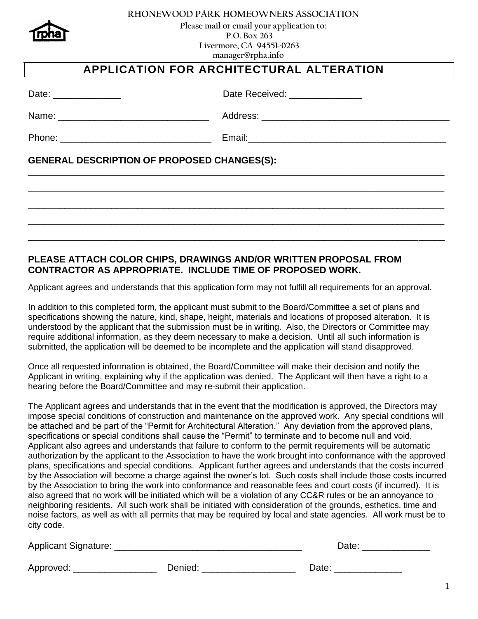

#### **RHONEWOOD PARK HOMEOWNERS ASSOCIATION**

 **Please mail or email your application to: P.O. Box 263 Livermore, CA 94551-0263 manager@rpha.info** 

# **APPLICATION FOR ARCHITECTURAL ALTERATION**

| Date: | Date Received: |
|-------|----------------|
|       |                |

Name: \_\_\_\_\_\_\_\_\_\_\_\_\_\_\_\_\_\_\_\_\_\_\_\_\_\_\_\_\_ Address: \_\_\_\_\_\_\_\_\_\_\_\_\_\_\_\_\_\_\_\_\_\_\_\_\_\_\_\_\_\_\_\_\_\_\_\_

Phone: **Email: Email:** 

\_\_\_\_\_\_\_\_\_\_\_\_\_\_\_\_\_\_\_\_\_\_\_\_\_\_\_\_\_\_\_\_\_\_\_\_\_\_\_\_\_\_\_\_\_\_\_\_\_\_\_\_\_\_\_\_\_\_\_\_\_\_\_\_\_\_\_\_\_\_\_\_\_\_\_\_\_\_\_\_

\_\_\_\_\_\_\_\_\_\_\_\_\_\_\_\_\_\_\_\_\_\_\_\_\_\_\_\_\_\_\_\_\_\_\_\_\_\_\_\_\_\_\_\_\_\_\_\_\_\_\_\_\_\_\_\_\_\_\_\_\_\_\_\_\_\_\_\_\_\_\_\_\_\_\_\_\_\_\_\_

\_\_\_\_\_\_\_\_\_\_\_\_\_\_\_\_\_\_\_\_\_\_\_\_\_\_\_\_\_\_\_\_\_\_\_\_\_\_\_\_\_\_\_\_\_\_\_\_\_\_\_\_\_\_\_\_\_\_\_\_\_\_\_\_\_\_\_\_\_\_\_\_\_\_\_\_\_\_\_\_

\_\_\_\_\_\_\_\_\_\_\_\_\_\_\_\_\_\_\_\_\_\_\_\_\_\_\_\_\_\_\_\_\_\_\_\_\_\_\_\_\_\_\_\_\_\_\_\_\_\_\_\_\_\_\_\_\_\_\_\_\_\_\_\_\_\_\_\_\_\_\_\_\_\_\_\_\_\_\_\_

\_\_\_\_\_\_\_\_\_\_\_\_\_\_\_\_\_\_\_\_\_\_\_\_\_\_\_\_\_\_\_\_\_\_\_\_\_\_\_\_\_\_\_\_\_\_\_\_\_\_\_\_\_\_\_\_\_\_\_\_\_\_\_\_\_\_\_\_\_\_\_\_\_\_\_\_\_\_\_\_

# **GENERAL DESCRIPTION OF PROPOSED CHANGES(S):**

## **PLEASE ATTACH COLOR CHIPS, DRAWINGS AND/OR WRITTEN PROPOSAL FROM CONTRACTOR AS APPROPRIATE. INCLUDE TIME OF PROPOSED WORK.**

Applicant agrees and understands that this application form may not fulfill all requirements for an approval.

In addition to this completed form, the applicant must submit to the Board/Committee a set of plans and specifications showing the nature, kind, shape, height, materials and locations of proposed alteration. It is understood by the applicant that the submission must be in writing. Also, the Directors or Committee may require additional information, as they deem necessary to make a decision. Until all such information is submitted, the application will be deemed to be incomplete and the application will stand disapproved.

Once all requested information is obtained, the Board/Committee will make their decision and notify the Applicant in writing, explaining why if the application was denied. The Applicant will then have a right to a hearing before the Board/Committee and may re-submit their application.

The Applicant agrees and understands that in the event that the modification is approved, the Directors may impose special conditions of construction and maintenance on the approved work. Any special conditions will be attached and be part of the "Permit for Architectural Alteration." Any deviation from the approved plans, specifications or special conditions shall cause the "Permit" to terminate and to become null and void. Applicant also agrees and understands that failure to conform to the permit requirements will be automatic authorization by the applicant to the Association to have the work brought into conformance with the approved plans, specifications and special conditions. Applicant further agrees and understands that the costs incurred by the Association will become a charge against the owner's lot. Such costs shall include those costs incurred by the Association to bring the work into conformance and reasonable fees and court costs (if incurred). It is also agreed that no work will be initiated which will be a violation of any CC&R rules or be an annoyance to neighboring residents. All such work shall be initiated with consideration of the grounds, esthetics, time and noise factors, as well as with all permits that may be required by local and state agencies. All work must be to city code.

Applicant Signature: \_\_\_\_\_\_\_\_\_\_\_\_\_\_\_\_\_\_\_\_\_\_\_\_\_\_\_\_\_\_\_\_\_\_\_\_ Date: \_\_\_\_\_\_\_\_\_\_\_\_\_

| Date: |  |  |
|-------|--|--|
|       |  |  |

| Approved: |  |
|-----------|--|
|-----------|--|

Approved: \_\_\_\_\_\_\_\_\_\_\_\_\_\_\_\_ Denied: \_\_\_\_\_\_\_\_\_\_\_\_\_\_\_\_\_\_ Date: \_\_\_\_\_\_\_\_\_\_\_\_\_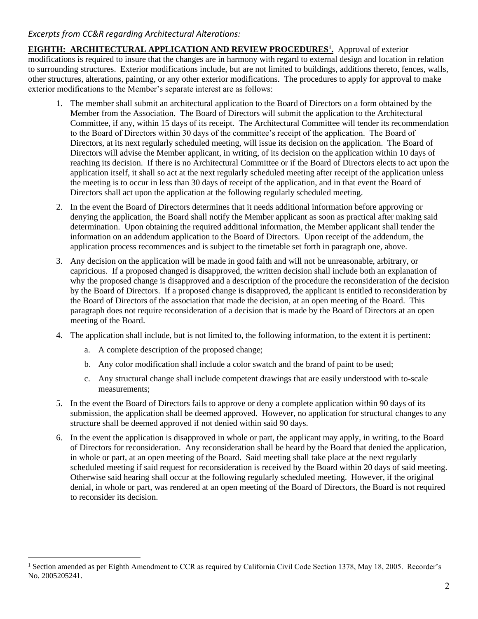# *Excerpts from CC&R regarding Architectural Alterations:*

**EIGHTH: ARCHITECTURAL APPLICATION AND REVIEW PROCEDURES<sup>1</sup> .** Approval of exterior modifications is required to insure that the changes are in harmony with regard to external design and location in relation to surrounding structures. Exterior modifications include, but are not limited to buildings, additions thereto, fences, walls, other structures, alterations, painting, or any other exterior modifications. The procedures to apply for approval to make exterior modifications to the Member's separate interest are as follows:

- 1. The member shall submit an architectural application to the Board of Directors on a form obtained by the Member from the Association. The Board of Directors will submit the application to the Architectural Committee, if any, within 15 days of its receipt. The Architectural Committee will tender its recommendation to the Board of Directors within 30 days of the committee's receipt of the application. The Board of Directors, at its next regularly scheduled meeting, will issue its decision on the application. The Board of Directors will advise the Member applicant, in writing, of its decision on the application within 10 days of reaching its decision. If there is no Architectural Committee or if the Board of Directors elects to act upon the application itself, it shall so act at the next regularly scheduled meeting after receipt of the application unless the meeting is to occur in less than 30 days of receipt of the application, and in that event the Board of Directors shall act upon the application at the following regularly scheduled meeting.
- 2. In the event the Board of Directors determines that it needs additional information before approving or denying the application, the Board shall notify the Member applicant as soon as practical after making said determination. Upon obtaining the required additional information, the Member applicant shall tender the information on an addendum application to the Board of Directors. Upon receipt of the addendum, the application process recommences and is subject to the timetable set forth in paragraph one, above.
- 3. Any decision on the application will be made in good faith and will not be unreasonable, arbitrary, or capricious. If a proposed changed is disapproved, the written decision shall include both an explanation of why the proposed change is disapproved and a description of the procedure the reconsideration of the decision by the Board of Directors. If a proposed change is disapproved, the applicant is entitled to reconsideration by the Board of Directors of the association that made the decision, at an open meeting of the Board. This paragraph does not require reconsideration of a decision that is made by the Board of Directors at an open meeting of the Board.
- 4. The application shall include, but is not limited to, the following information, to the extent it is pertinent:
	- a. A complete description of the proposed change;
	- b. Any color modification shall include a color swatch and the brand of paint to be used;
	- c. Any structural change shall include competent drawings that are easily understood with to-scale measurements;
- 5. In the event the Board of Directors fails to approve or deny a complete application within 90 days of its submission, the application shall be deemed approved. However, no application for structural changes to any structure shall be deemed approved if not denied within said 90 days.
- 6. In the event the application is disapproved in whole or part, the applicant may apply, in writing, to the Board of Directors for reconsideration. Any reconsideration shall be heard by the Board that denied the application, in whole or part, at an open meeting of the Board. Said meeting shall take place at the next regularly scheduled meeting if said request for reconsideration is received by the Board within 20 days of said meeting. Otherwise said hearing shall occur at the following regularly scheduled meeting. However, if the original denial, in whole or part, was rendered at an open meeting of the Board of Directors, the Board is not required to reconsider its decision.

<sup>&</sup>lt;sup>1</sup> Section amended as per Eighth Amendment to CCR as required by California Civil Code Section 1378, May 18, 2005. Recorder's No. 2005205241.